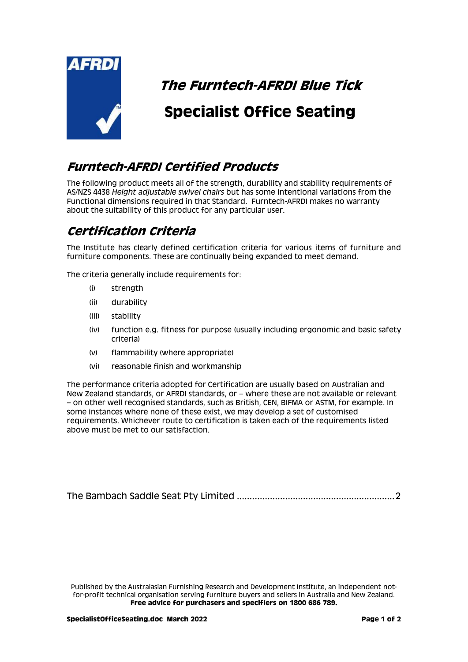

## **The Furntech-AFRDI Blue Tick**

# **Specialist Office Seating**

#### **Furntech-AFRDI Certified Products**

The following product meets all of the strength, durability and stability requirements of AS/NZS 4438 *Height adjustable swivel chairs* but has some intentional variations from the Functional dimensions required in that Standard. Furntech-AFRDI makes no warranty about the suitability of this product for any particular user.

### **Certification Criteria**

The Institute has clearly defined certification criteria for various items of furniture and furniture components. These are continually being expanded to meet demand.

The criteria generally include requirements for:

- (i) strength
- (ii) durability
- (iii) stability
- (iv) function e.g. fitness for purpose (usually including ergonomic and basic safety criteria)
- (v) flammability (where appropriate)
- (vi) reasonable finish and workmanship

The performance criteria adopted for Certification are usually based on Australian and New Zealand standards, or AFRDI standards, or – where these are not available or relevant – on other well recognised standards, such as British, CEN, BIFMA or ASTM, for example. In some instances where none of these exist, we may develop a set of customised requirements. Whichever route to certification is taken each of the requirements listed above must be met to our satisfaction.

[The Bambach Saddle Seat Pty Limited](#page-1-0) ..............................................................2

Published by the Australasian Furnishing Research and Development Institute, an independent notfor-profit technical organisation serving furniture buyers and sellers in Australia and New Zealand. **Free advice for purchasers and specifiers on 1800 686 789.**